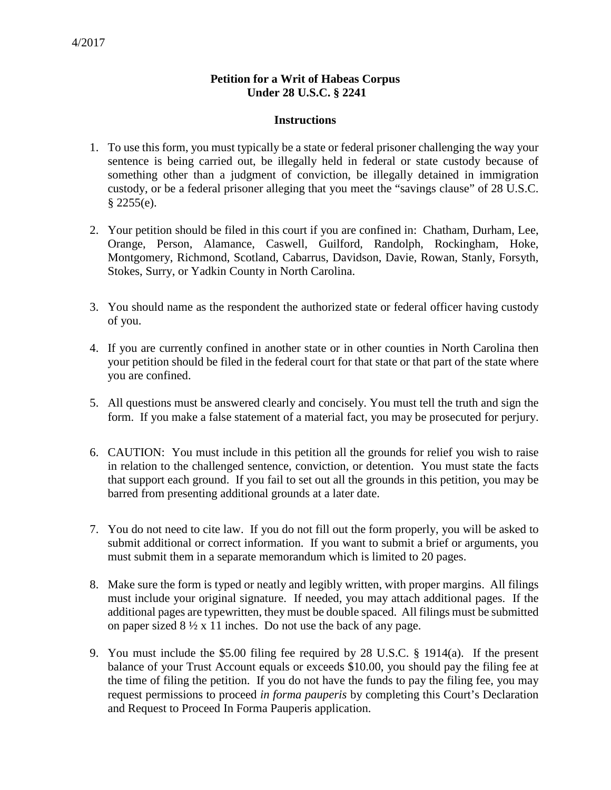## **Petition for a Writ of Habeas Corpus Under 28 U.S.C. § 2241**

## **Instructions**

- 1. To use this form, you must typically be a state or federal prisoner challenging the way your sentence is being carried out, be illegally held in federal or state custody because of something other than a judgment of conviction, be illegally detained in immigration custody, or be a federal prisoner alleging that you meet the "savings clause" of 28 U.S.C. § 2255(e).
- 2. Your petition should be filed in this court if you are confined in: Chatham, Durham, Lee, Orange, Person, Alamance, Caswell, Guilford, Randolph, Rockingham, Hoke, Montgomery, Richmond, Scotland, Cabarrus, Davidson, Davie, Rowan, Stanly, Forsyth, Stokes, Surry, or Yadkin County in North Carolina.
- 3. You should name as the respondent the authorized state or federal officer having custody of you.
- 4. If you are currently confined in another state or in other counties in North Carolina then your petition should be filed in the federal court for that state or that part of the state where you are confined.
- 5. All questions must be answered clearly and concisely. You must tell the truth and sign the form. If you make a false statement of a material fact, you may be prosecuted for perjury.
- 6. CAUTION: You must include in this petition all the grounds for relief you wish to raise in relation to the challenged sentence, conviction, or detention. You must state the facts that support each ground. If you fail to set out all the grounds in this petition, you may be barred from presenting additional grounds at a later date.
- 7. You do not need to cite law. If you do not fill out the form properly, you will be asked to submit additional or correct information. If you want to submit a brief or arguments, you must submit them in a separate memorandum which is limited to 20 pages.
- 8. Make sure the form is typed or neatly and legibly written, with proper margins. All filings must include your original signature. If needed, you may attach additional pages. If the additional pages are typewritten, they must be double spaced. All filings must be submitted on paper sized  $8\frac{1}{2}x$  11 inches. Do not use the back of any page.
- 9. You must include the \$5.00 filing fee required by 28 U.S.C. § 1914(a). If the present balance of your Trust Account equals or exceeds \$10.00, you should pay the filing fee at the time of filing the petition. If you do not have the funds to pay the filing fee, you may request permissions to proceed *in forma pauperis* by completing this Court's Declaration and Request to Proceed In Forma Pauperis application.